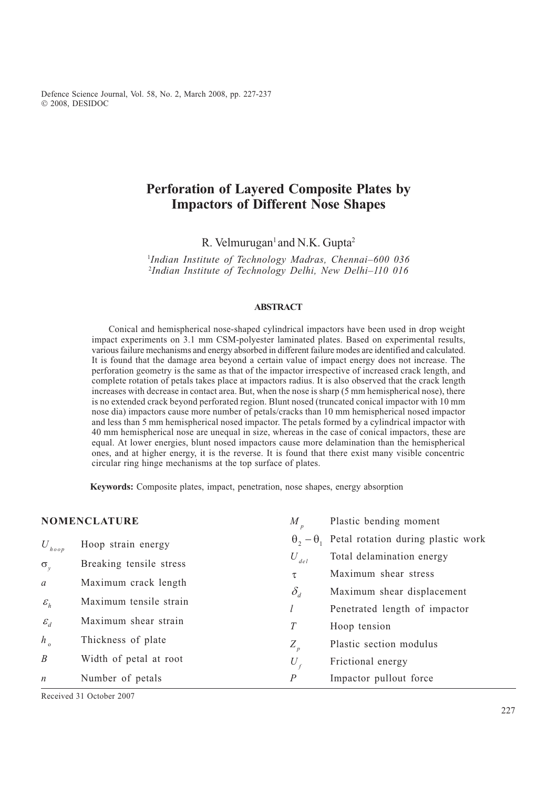Defence Science Journal, Vol. 58, No. 2, March 2008, pp. 227-237 Ó 2008, DESIDOC

# Perforation of Layered Composite Plates by Impactors of Different Nose Shapes

R. Velmurugan<sup>1</sup> and N.K. Gupta<sup>2</sup>

<sup>1</sup>Indian Institute of Technology Madras, Chennai-600 036 <sup>2</sup>Indian Institute of Technology Delhi, New Delhi-110 016

#### ABSTRACT

Conical and hemispherical nose-shaped cylindrical impactors have been used in drop weight impact experiments on 3.1 mm CSM-polyester laminated plates. Based on experimental results, various failure mechanisms and energy absorbed in different failure modes are identified and calculated. It is found that the damage area beyond a certain value of impact energy does not increase. The perforation geometry is the same as that of the impactor irrespective of increased crack length, and complete rotation of petals takes place at impactors radius. It is also observed that the crack length increases with decrease in contact area. But, when the nose is sharp (5 mm hemispherical nose), there is no extended crack beyond perforated region. Blunt nosed (truncated conical impactor with 10 mm nose dia) impactors cause more number of petals/cracks than 10 mm hemispherical nosed impactor and less than 5 mm hemispherical nosed impactor. The petals formed by a cylindrical impactor with 40 mm hemispherical nose are unequal in size, whereas in the case of conical impactors, these are equal. At lower energies, blunt nosed impactors cause more delamination than the hemispherical ones, and at higher energy, it is the reverse. It is found that there exist many visible concentric circular ring hinge mechanisms at the top surface of plates.

Keywords: Composite plates, impact, penetration, nose shapes, energy absorption

| <b>NOMENCLATURE</b> |                         | M                | Plastic bending moment                                   |  |  |
|---------------------|-------------------------|------------------|----------------------------------------------------------|--|--|
| $U_{hoop}$          | Hoop strain energy      |                  | $\theta_2 - \theta_1$ Petal rotation during plastic work |  |  |
|                     | Breaking tensile stress | $U_{del}$        | Total delamination energy                                |  |  |
| $\sigma_{v}$        | Maximum crack length    | τ                | Maximum shear stress                                     |  |  |
| $\mathfrak a$       |                         | $\delta_d$       | Maximum shear displacement                               |  |  |
| $\varepsilon_h$     | Maximum tensile strain  |                  | Penetrated length of impactor                            |  |  |
| $\mathcal{E}_d$     | Maximum shear strain    | T                | Hoop tension                                             |  |  |
| $h_{\circ}$         | Thickness of plate      | $Z_p$            | Plastic section modulus                                  |  |  |
| $\boldsymbol{B}$    | Width of petal at root  | $U_{\epsilon}$   | Frictional energy                                        |  |  |
| $\boldsymbol{n}$    | Number of petals        | $\boldsymbol{P}$ | Impactor pullout force                                   |  |  |

Received 31 October 2007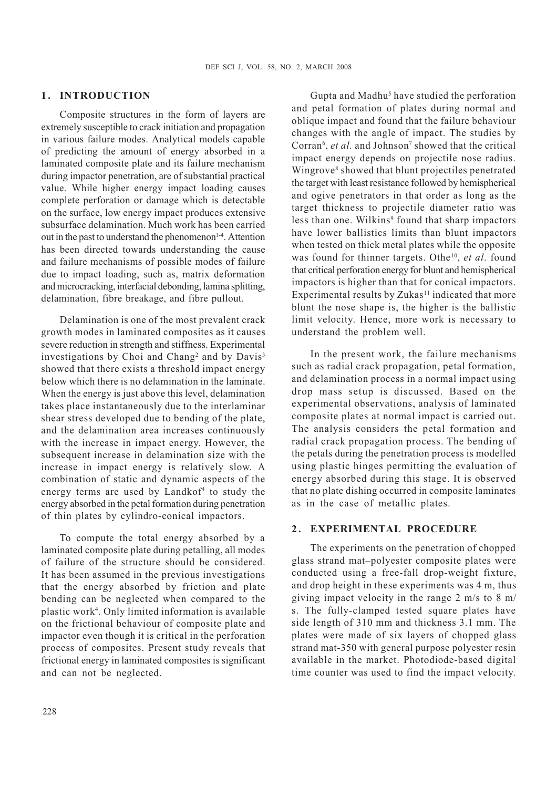### 1. INTRODUCTION

Composite structures in the form of layers are extremely susceptible to crack initiation and propagation in various failure modes. Analytical models capable of predicting the amount of energy absorbed in a laminated composite plate and its failure mechanism during impactor penetration, are of substantial practical value. While higher energy impact loading causes complete perforation or damage which is detectable on the surface, low energy impact produces extensive subsurface delamination. Much work has been carried out in the past to understand the phenomenon<sup>1-4</sup>. Attention has been directed towards understanding the cause and failure mechanisms of possible modes of failure due to impact loading, such as, matrix deformation and microcracking, interfacial debonding, lamina splitting, delamination, fibre breakage, and fibre pullout.

Delamination is one of the most prevalent crack growth modes in laminated composites as it causes severe reduction in strength and stiffness. Experimental investigations by Choi and Chang<sup>2</sup> and by Davis<sup>3</sup> showed that there exists a threshold impact energy below which there is no delamination in the laminate. When the energy is just above this level, delamination takes place instantaneously due to the interlaminar shear stress developed due to bending of the plate, and the delamination area increases continuously with the increase in impact energy. However, the subsequent increase in delamination size with the increase in impact energy is relatively slow. A combination of static and dynamic aspects of the energy terms are used by Landkof<sup>4</sup> to study the energy absorbed in the petal formation during penetration of thin plates by cylindro-conical impactors.

To compute the total energy absorbed by a laminated composite plate during petalling, all modes of failure of the structure should be considered. It has been assumed in the previous investigations that the energy absorbed by friction and plate bending can be neglected when compared to the plastic work4 . Only limited information is available on the frictional behaviour of composite plate and impactor even though it is critical in the perforation process of composites. Present study reveals that frictional energy in laminated composites is significant and can not be neglected.

Gupta and Madhu<sup>5</sup> have studied the perforation and petal formation of plates during normal and oblique impact and found that the failure behaviour changes with the angle of impact. The studies by Corran<sup>6</sup>, et al. and Johnson<sup>7</sup> showed that the critical impact energy depends on projectile nose radius. Wingrove8 showed that blunt projectiles penetrated the target with least resistance followed by hemispherical and ogive penetrators in that order as long as the target thickness to projectile diameter ratio was less than one. Wilkins<sup>9</sup> found that sharp impactors have lower ballistics limits than blunt impactors when tested on thick metal plates while the opposite was found for thinner targets. Othe<sup>10</sup>, et al. found that critical perforation energy for blunt and hemispherical impactors is higher than that for conical impactors. Experimental results by  $Zukas<sup>11</sup>$  indicated that more blunt the nose shape is, the higher is the ballistic limit velocity. Hence, more work is necessary to understand the problem well.

In the present work, the failure mechanisms such as radial crack propagation, petal formation, and delamination process in a normal impact using drop mass setup is discussed. Based on the experimental observations, analysis of laminated composite plates at normal impact is carried out. The analysis considers the petal formation and radial crack propagation process. The bending of the petals during the penetration process is modelled using plastic hinges permitting the evaluation of energy absorbed during this stage. It is observed that no plate dishing occurred in composite laminates as in the case of metallic plates.

# 2. EXPERIMENTAL PROCEDURE

The experiments on the penetration of chopped glass strand mat-polyester composite plates were conducted using a free-fall drop-weight fixture, and drop height in these experiments was 4 m, thus giving impact velocity in the range 2 m/s to 8 m/ s. The fully-clamped tested square plates have side length of 310 mm and thickness 3.1 mm. The plates were made of six layers of chopped glass strand mat-350 with general purpose polyester resin available in the market. Photodiode-based digital time counter was used to find the impact velocity.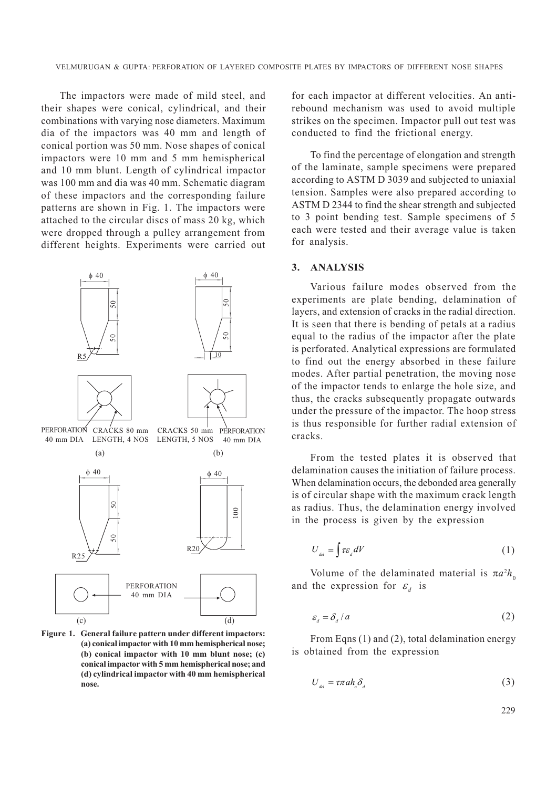The impactors were made of mild steel, and their shapes were conical, cylindrical, and their combinations with varying nose diameters. Maximum dia of the impactors was 40 mm and length of conical portion was 50 mm. Nose shapes of conical impactors were 10 mm and 5 mm hemispherical and 10 mm blunt. Length of cylindrical impactor was 100 mm and dia was 40 mm. Schematic diagram of these impactors and the corresponding failure patterns are shown in Fig. 1. The impactors were attached to the circular discs of mass 20 kg, which were dropped through a pulley arrangement from different heights. Experiments were carried out



Figure 1. General failure pattern under different impactors: (a) conical impactor with 10 mm hemispherical nose; (b) conical impactor with 10 mm blunt nose; (c) conical impactor with 5 mm hemispherical nose; and (d) cylindrical impactor with 40 mm hemispherical nose.

for each impactor at different velocities. An antirebound mechanism was used to avoid multiple strikes on the specimen. Impactor pull out test was conducted to find the frictional energy.

To find the percentage of elongation and strength of the laminate, sample specimens were prepared according to ASTM D 3039 and subjected to uniaxial tension. Samples were also prepared according to ASTM D 2344 to find the shear strength and subjected to 3 point bending test. Sample specimens of 5 each were tested and their average value is taken for analysis.

# 3. ANALYSIS

Various failure modes observed from the experiments are plate bending, delamination of layers, and extension of cracks in the radial direction. It is seen that there is bending of petals at a radius equal to the radius of the impactor after the plate is perforated. Analytical expressions are formulated to find out the energy absorbed in these failure modes. After partial penetration, the moving nose of the impactor tends to enlarge the hole size, and thus, the cracks subsequently propagate outwards under the pressure of the impactor. The hoop stress is thus responsible for further radial extension of cracks.

From the tested plates it is observed that delamination causes the initiation of failure process. When delamination occurs, the debonded area generally is of circular shape with the maximum crack length as radius. Thus, the delamination energy involved in the process is given by the expression

$$
U_{\rm ad} = \int \tau \varepsilon_{\rm d} dV \tag{1}
$$

Volume of the delaminated material is  $\pi a^2 h_0$ and the expression for  $\varepsilon_d$  is

$$
\varepsilon_{d} = \delta_{d} / a \tag{2}
$$

From Eqns (1) and (2), total delamination energy is obtained from the expression

$$
U_{\rm del} = \tau \pi a h_{\rm o} \delta_{\rm d} \tag{3}
$$

229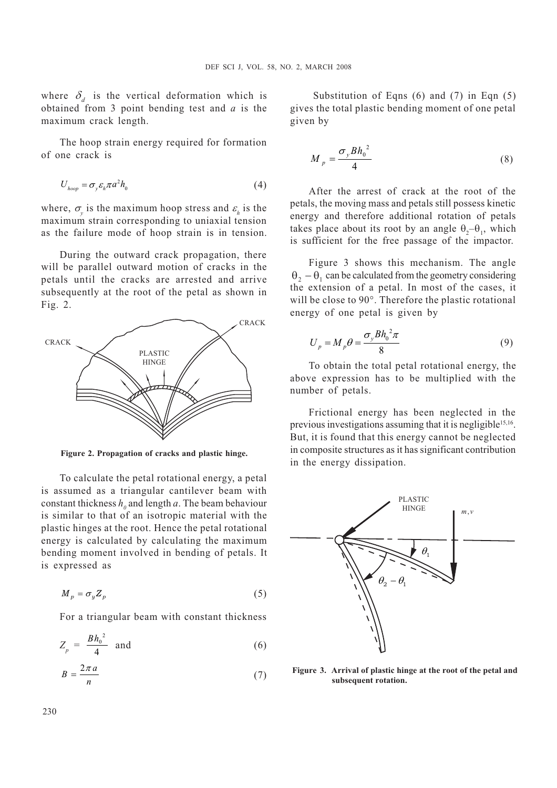where  $\delta_d$  is the vertical deformation which is obtained from 3 point bending test and  $a$  is the maximum crack length.

The hoop strain energy required for formation of one crack is

$$
U_{hoop} = \sigma_y \varepsilon_h \pi a^2 h_0 \tag{4}
$$

where,  $\sigma_y$  is the maximum hoop stress and  $\varepsilon_h$  is the maximum strain corresponding to uniaxial tension as the failure mode of hoop strain is in tension.

During the outward crack propagation, there will be parallel outward motion of cracks in the petals until the cracks are arrested and arrive subsequently at the root of the petal as shown in Fig. 2.



Figure 2. Propagation of cracks and plastic hinge.

To calculate the petal rotational energy, a petal is assumed as a triangular cantilever beam with constant thickness  $h_0$  and length a. The beam behaviour is similar to that of an isotropic material with the plastic hinges at the root. Hence the petal rotational energy is calculated by calculating the maximum bending moment involved in bending of petals. It is expressed as

$$
M_p = \sigma_y Z_p \tag{5}
$$

For a triangular beam with constant thickness

$$
Z_p = \frac{Bh_0^2}{4} \quad \text{and} \tag{6}
$$

$$
B = \frac{2\pi a}{n} \tag{7}
$$

Substitution of Eqns (6) and (7) in Eqn (5) gives the total plastic bending moment of one petal given by

$$
M_p = \frac{\sigma_y B h_0^2}{4} \tag{8}
$$

After the arrest of crack at the root of the petals, the moving mass and petals still possess kinetic energy and therefore additional rotation of petals takes place about its root by an angle  $\theta_2 - \theta_1$ , which is sufficient for the free passage of the impactor.

Figure 3 shows this mechanism. The angle  $\theta_2 - \theta_1$  can be calculated from the geometry considering the extension of a petal. In most of the cases, it will be close to 90°. Therefore the plastic rotational energy of one petal is given by

$$
U_p = M_p \theta = \frac{\sigma_y B h_0^2 \pi}{8}
$$
\n(9)

To obtain the total petal rotational energy, the above expression has to be multiplied with the number of petals.

Frictional energy has been neglected in the previous investigations assuming that it is negligible<sup>15,16</sup>. But, it is found that this energy cannot be neglected in composite structures as it has significant contribution in the energy dissipation.



Figure 3. Arrival of plastic hinge at the root of the petal and subsequent rotation.

230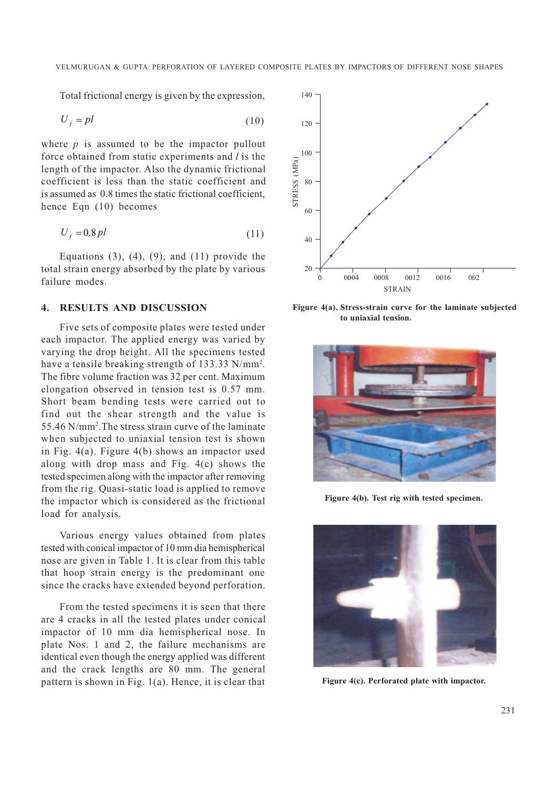Total frictional energy is given by the expression,

$$
U_f = pl \tag{10}
$$

where  $p$  is assumed to be the impactor pullout force obtained from static experiments and *l* is the length of the impactor. Also the dynamic frictional coefficient is less than the static coefficient and is assumed as 0.8 times the static frictional coefficient, hence Eqn (10) becomes

$$
U_f = 0.8 \, pl \tag{11}
$$

Equations  $(3)$ ,  $(4)$ ,  $(9)$ , and  $(11)$  provide the total strain energy absorbed by the plate by various failure modes.

# 4. RESULTS AND DISCUSSION

Five sets of composite plates were tested under each impactor. The applied energy was varied by varying the drop height. All the specimens tested have a tensile breaking strength of 133.33 N/mm<sup>2</sup>. The fibre volume fraction was 32 per cent. Maximum elongation observed in tension test is 0.57 mm. Short beam bending tests were carried out to find out the shear strength and the value is 55.46 N/mm2 .The stress strain curve of the laminate when subjected to uniaxial tension test is shown in Fig. 4(a). Figure 4(b) shows an impactor used along with drop mass and Fig. 4(c) shows the tested specimen along with the impactor after removing from the rig. Quasi-static load is applied to remove the impactor which is considered as the frictional load for analysis.

Various energy values obtained from plates tested with conical impactor of 10 mm dia hemispherical nose are given in Table 1. It is clear from this table that hoop strain energy is the predominant one since the cracks have extended beyond perforation.

From the tested specimens it is seen that there are 4 cracks in all the tested plates under conical impactor of 10 mm dia hemispherical nose. In plate Nos. 1 and 2, the failure mechanisms are identical even though the energy applied was different and the crack lengths are 80 mm. The general pattern is shown in Fig.  $1(a)$ . Hence, it is clear that Figure 4(c). Perforated plate with impactor.



Figure 4(a). Stress-strain curve for the laminate subjected to uniaxial tension.



Figure 4(b). Test rig with tested specimen.

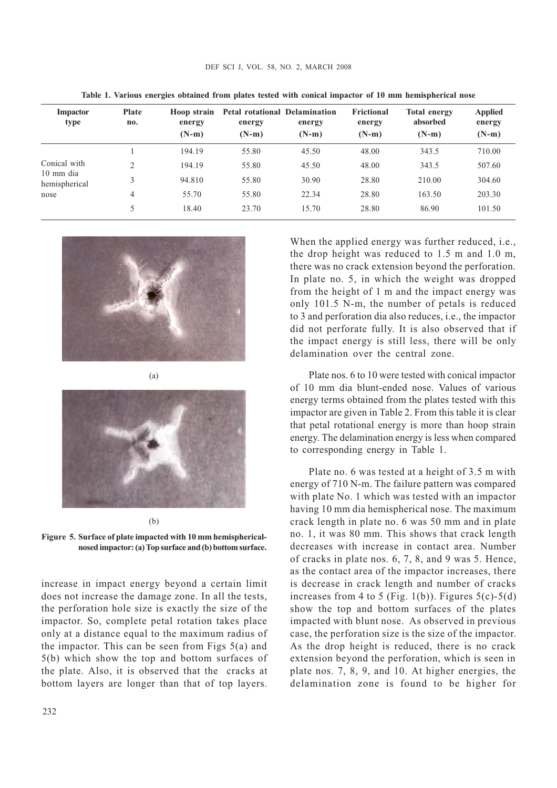| Impactor<br>type           | Plate<br>no.   | Hoop strain<br>energy<br>$(N-m)$ | <b>Petal rotational Delamination</b><br>energy<br>$(N-m)$ | energy<br>$(N-m)$ | Frictional<br>energy<br>$(N-m)$ | <b>Total energy</b><br>absorbed<br>$(N-m)$ | <b>Applied</b><br>energy<br>$(N-m)$ |
|----------------------------|----------------|----------------------------------|-----------------------------------------------------------|-------------------|---------------------------------|--------------------------------------------|-------------------------------------|
|                            |                | 194.19                           | 55.80                                                     | 45.50             | 48.00                           | 343.5                                      | 710.00                              |
| Conical with               | $\overline{2}$ | 194.19                           | 55.80                                                     | 45.50             | 48.00                           | 343.5                                      | 507.60                              |
| 10 mm dia<br>hemispherical | 3              | 94.810                           | 55.80                                                     | 30.90             | 28.80                           | 210.00                                     | 304.60                              |
| nose                       | 4              | 55.70                            | 55.80                                                     | 22.34             | 28.80                           | 163.50                                     | 203.30                              |
|                            | 5              | 18.40                            | 23.70                                                     | 15.70             | 28.80                           | 86.90                                      | 101.50                              |
|                            |                |                                  |                                                           |                   |                                 |                                            |                                     |

DEF SCI J, VOL. 58, NO. 2, MARCH 2008

Table 1. Various energies obtained from plates tested with conical impactor of 10 mm hemispherical nose



(a)

#### (b)

Figure 5. Surface of plate impacted with 10 mm hemisphericalnosed impactor: (a) Top surface and (b) bottom surface.

increase in impact energy beyond a certain limit does not increase the damage zone. In all the tests, the perforation hole size is exactly the size of the impactor. So, complete petal rotation takes place only at a distance equal to the maximum radius of the impactor. This can be seen from Figs  $5(a)$  and 5(b) which show the top and bottom surfaces of the plate. Also, it is observed that the cracks at bottom layers are longer than that of top layers. When the applied energy was further reduced, *i.e.*, the drop height was reduced to 1.5 m and 1.0 m, there was no crack extension beyond the perforation. In plate no. 5, in which the weight was dropped from the height of 1 m and the impact energy was only 101.5 N-m, the number of petals is reduced to 3 and perforation dia also reduces, i.e., the impactor did not perforate fully. It is also observed that if the impact energy is still less, there will be only delamination over the central zone.

Plate nos. 6 to 10 were tested with conical impactor of 10 mm dia blunt-ended nose. Values of various energy terms obtained from the plates tested with this impactor are given in Table 2. From this table it is clear that petal rotational energy is more than hoop strain energy. The delamination energy is less when compared to corresponding energy in Table 1.

Plate no. 6 was tested at a height of 3.5 m with energy of 710 N-m. The failure pattern was compared with plate No. 1 which was tested with an impactor having 10 mm dia hemispherical nose. The maximum crack length in plate no. 6 was 50 mm and in plate no. 1, it was 80 mm. This shows that crack length decreases with increase in contact area. Number of cracks in plate nos. 6, 7, 8, and 9 was 5. Hence, as the contact area of the impactor increases, there is decrease in crack length and number of cracks increases from 4 to 5 (Fig. 1(b)). Figures  $5(c)$ - $5(d)$ show the top and bottom surfaces of the plates impacted with blunt nose. As observed in previous case, the perforation size is the size of the impactor. As the drop height is reduced, there is no crack extension beyond the perforation, which is seen in plate nos. 7, 8, 9, and 10. At higher energies, the delamination zone is found to be higher for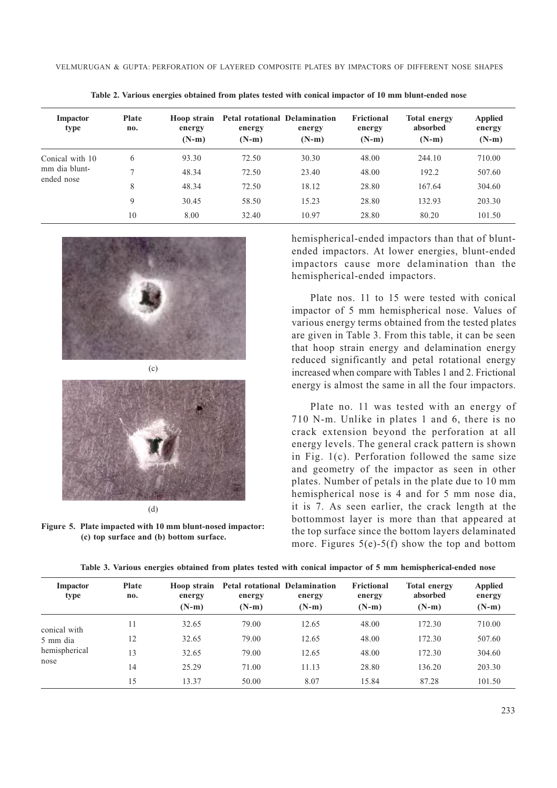| Impactor<br>type | <b>Plate</b><br>no. | Hoop strain<br>energy<br>$(N-m)$ | <b>Petal rotational Delamination</b><br>energy<br>$(N-m)$ | energy<br>$(N-m)$ | Frictional<br>energy<br>$(N-m)$ | <b>Total energy</b><br>absorbed<br>$(N-m)$ | <b>Applied</b><br>energy<br>$(N-m)$ |
|------------------|---------------------|----------------------------------|-----------------------------------------------------------|-------------------|---------------------------------|--------------------------------------------|-------------------------------------|
| Conical with 10  | 6                   | 93.30                            | 72.50                                                     | 30.30             | 48.00                           | 244.10                                     | 710.00                              |
| mm dia blunt-    | $\mathcal{L}$       | 48.34                            | 72.50                                                     | 23.40             | 48.00                           | 192.2                                      | 507.60                              |
| ended nose       | 8                   | 48.34                            | 72.50                                                     | 18.12             | 28.80                           | 167.64                                     | 304.60                              |
|                  | 9                   | 30.45                            | 58.50                                                     | 15.23             | 28.80                           | 132.93                                     | 203.30                              |
|                  | 10                  | 8.00                             | 32.40                                                     | 10.97             | 28.80                           | 80.20                                      | 101.50                              |

Table 2. Various energies obtained from plates tested with conical impactor of 10 mm blunt-ended nose





(d)

Figure 5. Plate impacted with 10 mm blunt-nosed impactor: (c) top surface and (b) bottom surface.

hemispherical-ended impactors than that of bluntended impactors. At lower energies, blunt-ended impactors cause more delamination than the hemispherical-ended impactors.

Plate nos. 11 to 15 were tested with conical impactor of 5 mm hemispherical nose. Values of various energy terms obtained from the tested plates are given in Table 3. From this table, it can be seen that hoop strain energy and delamination energy reduced significantly and petal rotational energy increased when compare with Tables 1 and 2. Frictional energy is almost the same in all the four impactors.

Plate no. 11 was tested with an energy of 710 N-m. Unlike in plates 1 and 6, there is no crack extension beyond the perforation at all energy levels. The general crack pattern is shown in Fig. 1(c). Perforation followed the same size and geometry of the impactor as seen in other plates. Number of petals in the plate due to 10 mm hemispherical nose is 4 and for 5 mm nose dia, it is 7. As seen earlier, the crack length at the bottommost layer is more than that appeared at the top surface since the bottom layers delaminated more. Figures  $5(e)$ -5(f) show the top and bottom

| Impactor<br>type | <b>Plate</b><br>no. | energy  | Hoop strain Petal rotational Delamination<br>energy | energy  | Frictional<br>energy | <b>Total energy</b><br>absorbed | <b>Applied</b><br>energy |
|------------------|---------------------|---------|-----------------------------------------------------|---------|----------------------|---------------------------------|--------------------------|
|                  |                     | $(N-m)$ | $(N-m)$                                             | $(N-m)$ | $(N-m)$              | $(N-m)$                         | $(N-m)$                  |
| conical with     | 11                  | 32.65   | 79.00                                               | 12.65   | 48.00                | 172.30                          | 710.00                   |
| 5 mm dia         | 12                  | 32.65   | 79.00                                               | 12.65   | 48.00                | 172.30                          | 507.60                   |
| hemispherical    | 13                  | 32.65   | 79.00                                               | 12.65   | 48.00                | 172.30                          | 304.60                   |
| nose             | 14                  | 25.29   | 71.00                                               | 11.13   | 28.80                | 136.20                          | 203.30                   |
|                  | 15                  | 13.37   | 50.00                                               | 8.07    | 15.84                | 87.28                           | 101.50                   |

Table 3. Various energies obtained from plates tested with conical impactor of 5 mm hemispherical-ended nose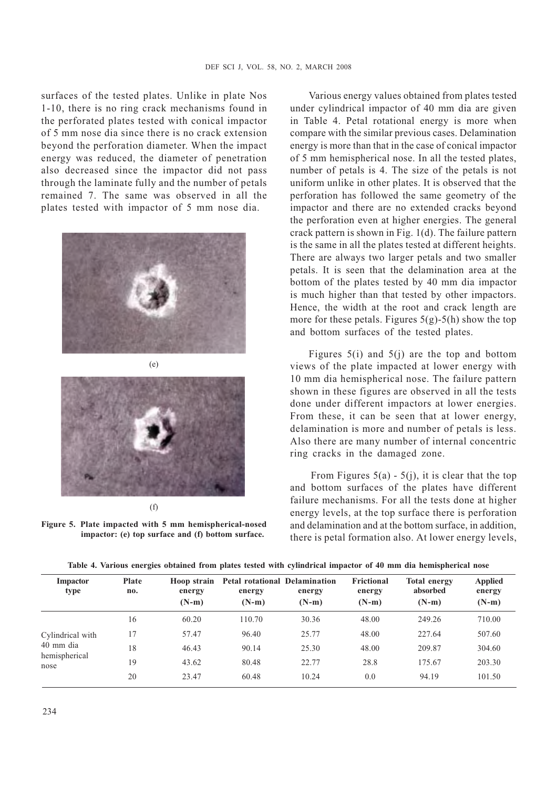surfaces of the tested plates. Unlike in plate Nos 1-10, there is no ring crack mechanisms found in the perforated plates tested with conical impactor of 5 mm nose dia since there is no crack extension beyond the perforation diameter. When the impact energy was reduced, the diameter of penetration also decreased since the impactor did not pass through the laminate fully and the number of petals remained 7. The same was observed in all the plates tested with impactor of 5 mm nose dia.



(f)

Figure 5. Plate impacted with 5 mm hemispherical-nosed impactor: (e) top surface and (f) bottom surface.

Various energy values obtained from plates tested under cylindrical impactor of 40 mm dia are given in Table 4. Petal rotational energy is more when compare with the similar previous cases. Delamination energy is more than that in the case of conical impactor of 5 mm hemispherical nose. In all the tested plates, number of petals is 4. The size of the petals is not uniform unlike in other plates. It is observed that the perforation has followed the same geometry of the impactor and there are no extended cracks beyond the perforation even at higher energies. The general crack pattern is shown in Fig. 1(d). The failure pattern is the same in all the plates tested at different heights. There are always two larger petals and two smaller petals. It is seen that the delamination area at the bottom of the plates tested by 40 mm dia impactor is much higher than that tested by other impactors. Hence, the width at the root and crack length are more for these petals. Figures  $5(g)$ -5(h) show the top and bottom surfaces of the tested plates.

Figures 5(i) and 5(j) are the top and bottom views of the plate impacted at lower energy with 10 mm dia hemispherical nose. The failure pattern shown in these figures are observed in all the tests done under different impactors at lower energies. From these, it can be seen that at lower energy, delamination is more and number of petals is less. Also there are many number of internal concentric ring cracks in the damaged zone.

From Figures  $5(a) - 5(j)$ , it is clear that the top and bottom surfaces of the plates have different failure mechanisms. For all the tests done at higher energy levels, at the top surface there is perforation and delamination and at the bottom surface, in addition, there is petal formation also. At lower energy levels,

| Impactor<br>type      | <b>Plate</b><br>no. | Hoop strain<br>energy<br>$(N-m)$ | energy<br>$(N-m)$ | <b>Petal rotational Delamination</b><br>energy<br>$(N-m)$ | Frictional<br>energy<br>$(N-m)$ | <b>Total energy</b><br>absorbed<br>$(N-m)$ | <b>Applied</b><br>energy<br>$(N-m)$ |
|-----------------------|---------------------|----------------------------------|-------------------|-----------------------------------------------------------|---------------------------------|--------------------------------------------|-------------------------------------|
|                       | 16                  | 60.20                            | 110.70            | 30.36                                                     | 48.00                           | 249.26                                     | 710.00                              |
| Cylindrical with      | 17                  | 57.47                            | 96.40             | 25.77                                                     | 48.00                           | 227.64                                     | 507.60                              |
| 40 mm dia             | 18                  | 46.43                            | 90.14             | 25.30                                                     | 48.00                           | 209.87                                     | 304.60                              |
| hemispherical<br>nose | 19                  | 43.62                            | 80.48             | 22.77                                                     | 28.8                            | 175.67                                     | 203.30                              |
|                       | 20                  | 23.47                            | 60.48             | 10.24                                                     | 0.0                             | 94.19                                      | 101.50                              |

Table 4. Various energies obtained from plates tested with cylindrical impactor of 40 mm dia hemispherical nose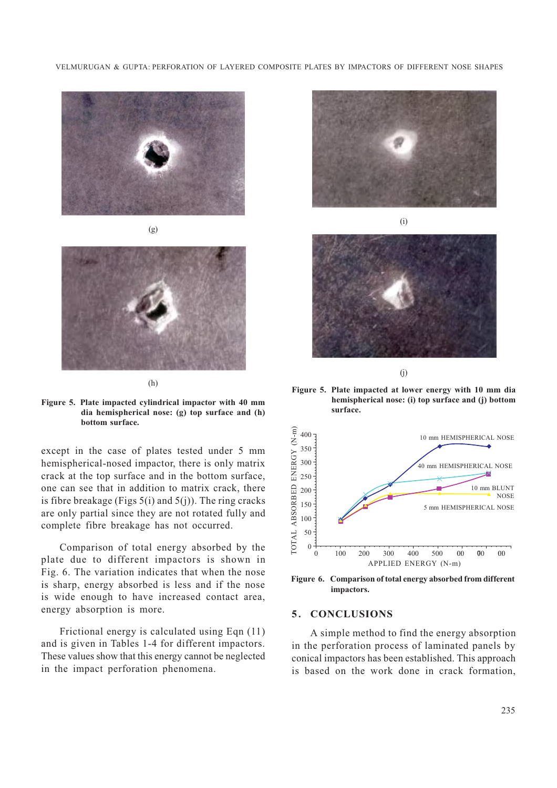VELMURUGAN & GUPTA: PERFORATION OF LAYERED COMPOSITE PLATES BY IMPACTORS OF DIFFERENT NOSE SHAPES





(h)

Figure 5. Plate impacted cylindrical impactor with 40 mm dia hemispherical nose: (g) top surface and (h) bottom surface.

except in the case of plates tested under 5 mm hemispherical-nosed impactor, there is only matrix crack at the top surface and in the bottom surface, one can see that in addition to matrix crack, there is fibre breakage (Figs  $5(i)$  and  $5(i)$ ). The ring cracks are only partial since they are not rotated fully and complete fibre breakage has not occurred.

Comparison of total energy absorbed by the plate due to different impactors is shown in Fig. 6. The variation indicates that when the nose is sharp, energy absorbed is less and if the nose is wide enough to have increased contact area, energy absorption is more.

Frictional energy is calculated using Eqn (11) and is given in Tables 1-4 for different impactors. These values show that this energy cannot be neglected in the impact perforation phenomena.





(j)

Figure 5. Plate impacted at lower energy with 10 mm dia hemispherical nose: (i) top surface and (j) bottom surface.



Figure 6. Comparison of total energy absorbed from different impactors.

# 5. CONCLUSIONS

A simple method to find the energy absorption in the perforation process of laminated panels by conical impactors has been established. This approach is based on the work done in crack formation,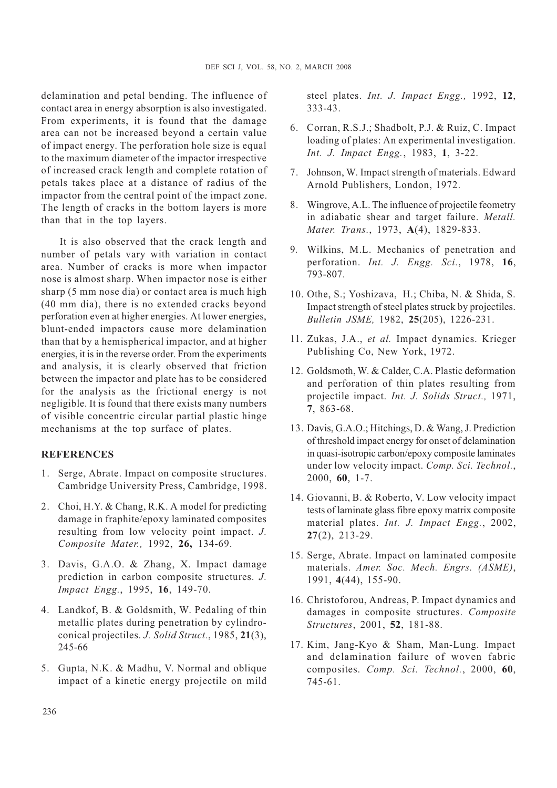delamination and petal bending. The influence of contact area in energy absorption is also investigated. From experiments, it is found that the damage area can not be increased beyond a certain value of impact energy. The perforation hole size is equal to the maximum diameter of the impactor irrespective of increased crack length and complete rotation of petals takes place at a distance of radius of the impactor from the central point of the impact zone. The length of cracks in the bottom layers is more than that in the top layers.

It is also observed that the crack length and number of petals vary with variation in contact area. Number of cracks is more when impactor nose is almost sharp. When impactor nose is either sharp (5 mm nose dia) or contact area is much high (40 mm dia), there is no extended cracks beyond perforation even at higher energies. At lower energies, blunt-ended impactors cause more delamination than that by a hemispherical impactor, and at higher energies, it is in the reverse order. From the experiments and analysis, it is clearly observed that friction between the impactor and plate has to be considered for the analysis as the frictional energy is not negligible. It is found that there exists many numbers of visible concentric circular partial plastic hinge mechanisms at the top surface of plates.

#### **REFERENCES**

- 1. Serge, Abrate. Impact on composite structures. Cambridge University Press, Cambridge, 1998.
- 2. Choi, H.Y. & Chang, R.K. A model for predicting damage in fraphite/epoxy laminated composites resulting from low velocity point impact. J. Composite Mater., 1992, 26, 134-69.
- 3. Davis, G.A.O. & Zhang, X. Impact damage prediction in carbon composite structures. J. Impact Engg., 1995, 16, 149-70.
- 4. Landkof, B. & Goldsmith, W. Pedaling of thin metallic plates during penetration by cylindroconical projectiles. J. Solid Struct., 1985, 21(3), 245-66
- 5. Gupta, N.K. & Madhu, V. Normal and oblique impact of a kinetic energy projectile on mild

steel plates. Int. J. Impact Engg., 1992, 12, 333-43.

- 6. Corran, R.S.J.; Shadbolt, P.J. & Ruiz, C. Impact loading of plates: An experimental investigation. Int. J. Impact Engg., 1983, 1, 3-22.
- 7. Johnson, W. Impact strength of materials. Edward Arnold Publishers, London, 1972.
- 8. Wingrove, A.L. The influence of projectile feometry in adiabatic shear and target failure. Metall. Mater. Trans., 1973, A(4), 1829-833.
- 9. Wilkins, M.L. Mechanics of penetration and perforation. Int. J. Engg. Sci., 1978, 16, 793-807.
- 10. Othe, S.; Yoshizava, H.; Chiba, N. & Shida, S. Impact strength of steel plates struck by projectiles. Bulletin JSME, 1982, 25(205), 1226-231.
- 11. Zukas, J.A., et al. Impact dynamics. Krieger Publishing Co, New York, 1972.
- 12. Goldsmoth, W. & Calder, C.A. Plastic deformation and perforation of thin plates resulting from projectile impact. Int. J. Solids Struct., 1971, 7, 863-68.
- 13. Davis, G.A.O.; Hitchings, D. & Wang, J. Prediction of threshold impact energy for onset of delamination in quasi-isotropic carbon/epoxy composite laminates under low velocity impact. Comp. Sci. Technol., 2000, 60, 1-7.
- 14. Giovanni, B. & Roberto, V. Low velocity impact tests of laminate glass fibre epoxy matrix composite material plates. Int. J. Impact Engg., 2002, 27(2), 213-29.
- 15. Serge, Abrate. Impact on laminated composite materials. Amer. Soc. Mech. Engrs. (ASME), 1991, 4(44), 155-90.
- 16. Christoforou, Andreas, P. Impact dynamics and damages in composite structures. Composite Structures, 2001, 52, 181-88.
- 17. Kim, Jang-Kyo & Sham, Man-Lung. Impact and delamination failure of woven fabric composites. Comp. Sci. Technol., 2000, 60, 745-61.